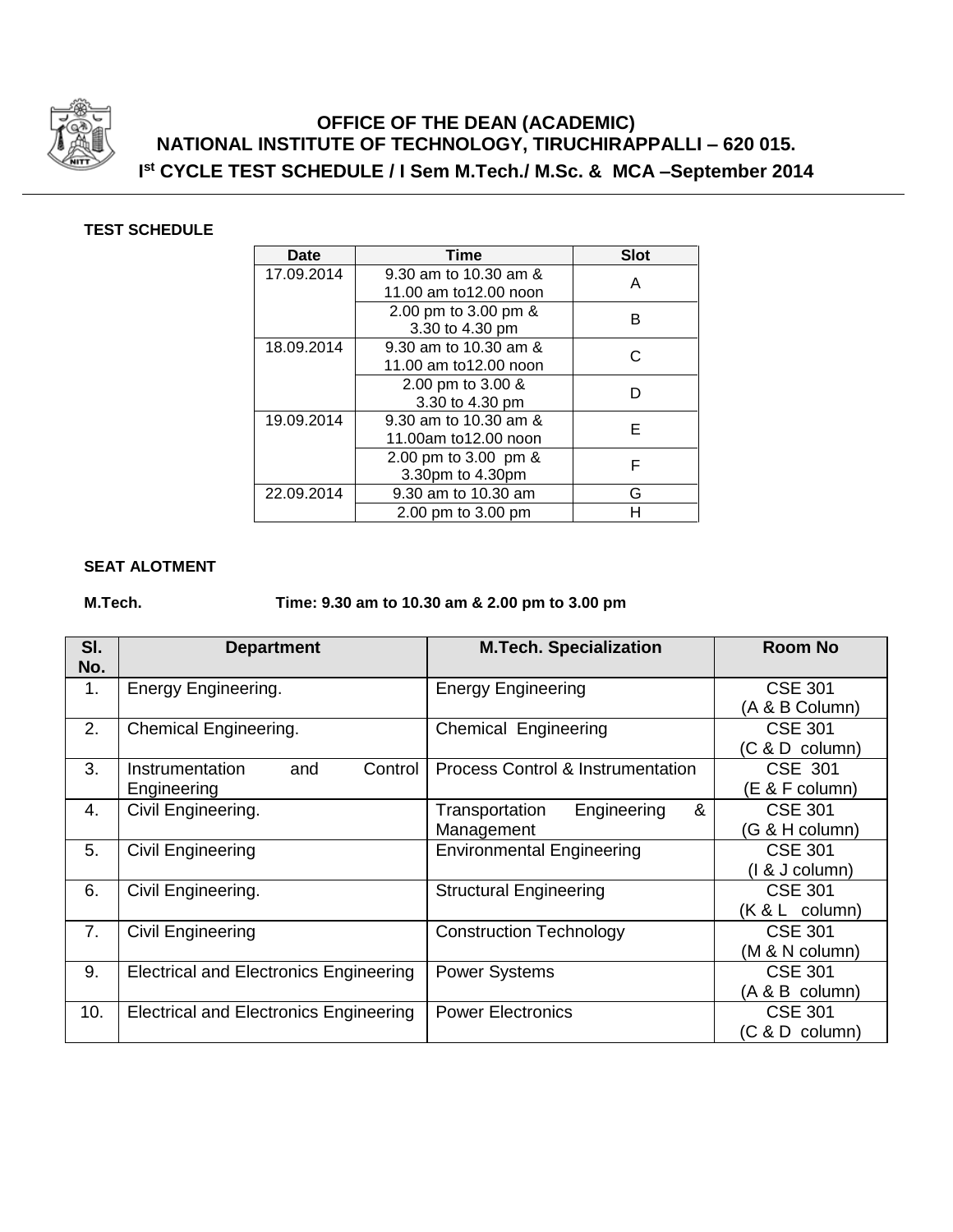

# **OFFICE OF THE DEAN (ACADEMIC) NATIONAL INSTITUTE OF TECHNOLOGY, TIRUCHIRAPPALLI – 620 015. I st CYCLE TEST SCHEDULE / I Sem M.Tech./ M.Sc. & MCA –September 2014**

### **TEST SCHEDULE**

| Date       | <b>Time</b>           | <b>Slot</b> |  |
|------------|-----------------------|-------------|--|
| 17.09.2014 | 9.30 am to 10.30 am & | А           |  |
|            | 11.00 am to12.00 noon |             |  |
|            | 2.00 pm to 3.00 pm &  | R           |  |
|            | 3.30 to 4.30 pm       |             |  |
| 18.09.2014 | 9.30 am to 10.30 am & |             |  |
|            | 11.00 am to12.00 noon |             |  |
|            | 2.00 pm to 3.00 &     |             |  |
|            | 3.30 to 4.30 pm       |             |  |
| 19.09.2014 | 9.30 am to 10.30 am & | F           |  |
|            | 11.00am to12.00 noon  |             |  |
|            | 2.00 pm to 3.00 pm &  | F           |  |
|            | 3.30pm to 4.30pm      |             |  |
| 22.09.2014 | 9.30 am to 10.30 am   | G           |  |
|            | 2.00 pm to 3.00 pm    | н           |  |

### **SEAT ALOTMENT**

## **M.Tech. Time: 9.30 am to 10.30 am & 2.00 pm to 3.00 pm**

| SI.<br>No. | <b>Department</b>                             | <b>M.Tech. Specialization</b>                | <b>Room No</b>                   |
|------------|-----------------------------------------------|----------------------------------------------|----------------------------------|
| 1.         | Energy Engineering.                           | <b>Energy Engineering</b>                    | <b>CSE 301</b>                   |
|            |                                               |                                              | (A & B Column)<br><b>CSE 301</b> |
| 2.         | Chemical Engineering.                         | Chemical Engineering                         | $(C & D$ column)                 |
| 3.         | Control<br>Instrumentation<br>and             | <b>Process Control &amp; Instrumentation</b> | CSE 301                          |
|            | Engineering                                   |                                              | (E & F column)                   |
| 4.         | Civil Engineering.                            | &<br>Engineering<br>Transportation           | <b>CSE 301</b>                   |
|            |                                               | Management                                   | (G & H column)                   |
| 5.         | <b>Civil Engineering</b>                      | <b>Environmental Engineering</b>             | <b>CSE 301</b>                   |
|            |                                               |                                              | $(1 & 8$ J column)               |
| 6.         | Civil Engineering.                            | <b>Structural Engineering</b>                | <b>CSE 301</b>                   |
|            |                                               |                                              | $(K & L$ column)                 |
| 7.         | <b>Civil Engineering</b>                      | <b>Construction Technology</b>               | <b>CSE 301</b>                   |
|            |                                               |                                              | (M & N column)                   |
| 9.         | <b>Electrical and Electronics Engineering</b> | <b>Power Systems</b>                         | <b>CSE 301</b>                   |
|            |                                               |                                              | (A & B column)                   |
| 10.        | <b>Electrical and Electronics Engineering</b> | <b>Power Electronics</b>                     | <b>CSE 301</b>                   |
|            |                                               |                                              | (C & D column)                   |